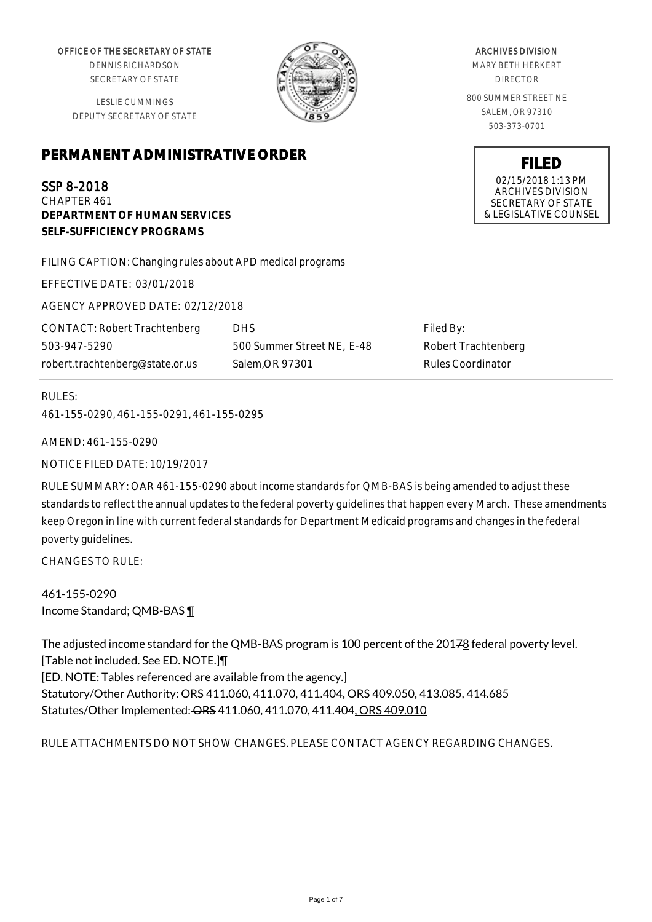OFFICE OF THE SECRETARY OF STATE

DENNIS RICHARDSON SECRETARY OF STATE

LESLIE CUMMINGS DEPUTY SECRETARY OF STATE

# **PERMANENT ADMINISTRATIVE ORDER**

# SSP 8-2018

CHAPTER 461 **DEPARTMENT OF HUMAN SERVICES SELF-SUFFICIENCY PROGRAMS**

FILING CAPTION: Changing rules about APD medical programs

EFFECTIVE DATE: 03/01/2018

AGENCY APPROVED DATE: 02/12/2018

CONTACT: Robert Trachtenberg 503-947-5290 robert.trachtenberg@state.or.us

DHS 500 Summer Street NE, E-48 Salem,OR 97301

Filed By: Robert Trachtenberg Rules Coordinator

#### RULES:

461-155-0290, 461-155-0291, 461-155-0295

AMEND: 461-155-0290

NOTICE FILED DATE: 10/19/2017

RULE SUMMARY: OAR 461-155-0290 about income standards for QMB-BAS is being amended to adjust these standards to reflect the annual updates to the federal poverty guidelines that happen every March. These amendments keep Oregon in line with current federal standards for Department Medicaid programs and changes in the federal poverty guidelines.

CHANGES TO RULE:

461-155-0290 Income Standard; QMB-BAS ¶

The adjusted income standard for the QMB-BAS program is 100 percent of the 20178 federal poverty level. [Table not included. See ED. NOTE.]¶ [ED. NOTE: Tables referenced are available from the agency.] Statutory/Other Authority: ORS 411.060, 411.070, 411.404, ORS 409.050, 413.085, 414.685 Statutes/Other Implemented: ORS 411.060, 411.070, 411.404, ORS 409.010

## RULE ATTACHMENTS DO NOT SHOW CHANGES. PLEASE CONTACT AGENCY REGARDING CHANGES.

ARCHIVES DIVISION

MARY BETH HERKERT DIRECTOR

800 SUMMER STREET NE SALEM, OR 97310 503-373-0701

> **FILED** 02/15/2018 1:13 PM ARCHIVES DIVISION SECRETARY OF STATE & LEGISLATIVE COUNSEL

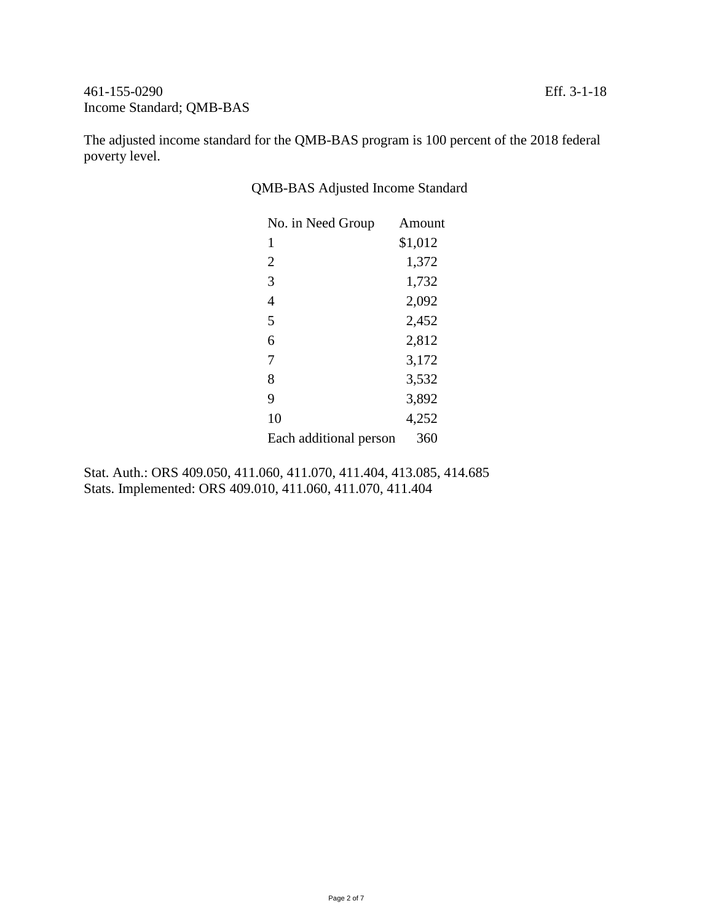The adjusted income standard for the QMB-BAS program is 100 percent of the 2018 federal poverty level.

| No. in Need Group      | Amount  |
|------------------------|---------|
| 1                      | \$1,012 |
| 2                      | 1,372   |
| 3                      | 1,732   |
| 4                      | 2,092   |
| 5                      | 2,452   |
| 6                      | 2,812   |
| 7                      | 3,172   |
| 8                      | 3,532   |
| 9                      | 3,892   |
| 10                     | 4,252   |
| Each additional person | 360     |

QMB-BAS Adjusted Income Standard

Stat. Auth.: ORS 409.050, 411.060, 411.070, 411.404, 413.085, 414.685 Stats. Implemented: ORS 409.010, 411.060, 411.070, 411.404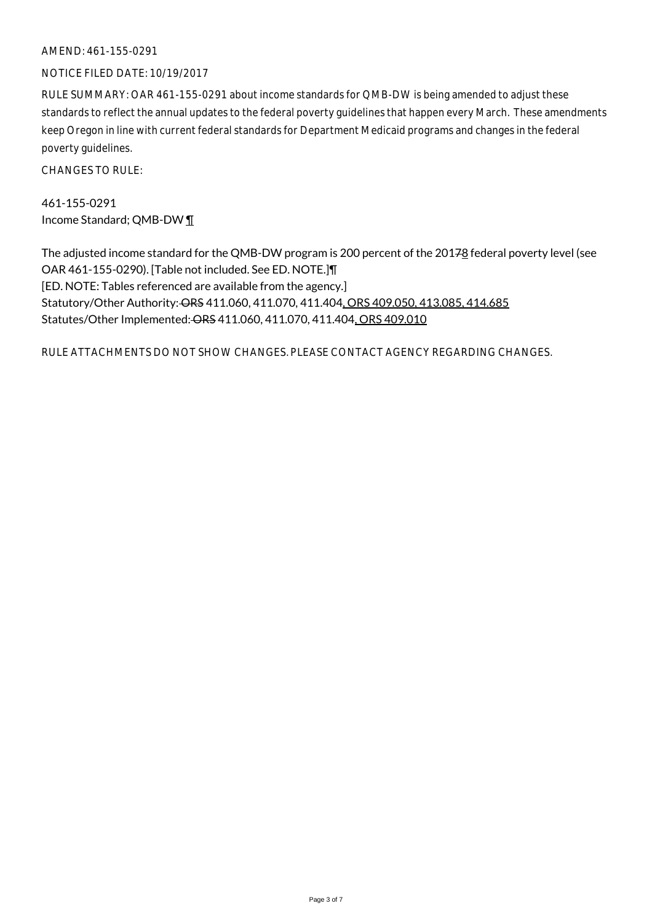#### AMEND: 461-155-0291

#### NOTICE FILED DATE: 10/19/2017

RULE SUMMARY: OAR 461-155-0291 about income standards for QMB-DW is being amended to adjust these standards to reflect the annual updates to the federal poverty guidelines that happen every March. These amendments keep Oregon in line with current federal standards for Department Medicaid programs and changes in the federal poverty guidelines.

CHANGES TO RULE:

461-155-0291 Income Standard; QMB-DW ¶

The adjusted income standard for the QMB-DW program is 200 percent of the 20178 federal poverty level (see OAR 461-155-0290). [Table not included. See ED. NOTE.]¶ [ED. NOTE: Tables referenced are available from the agency.] Statutory/Other Authority: ORS 411.060, 411.070, 411.404, ORS 409.050, 413.085, 414.685 Statutes/Other Implemented: ORS 411.060, 411.070, 411.404, ORS 409.010

RULE ATTACHMENTS DO NOT SHOW CHANGES. PLEASE CONTACT AGENCY REGARDING CHANGES.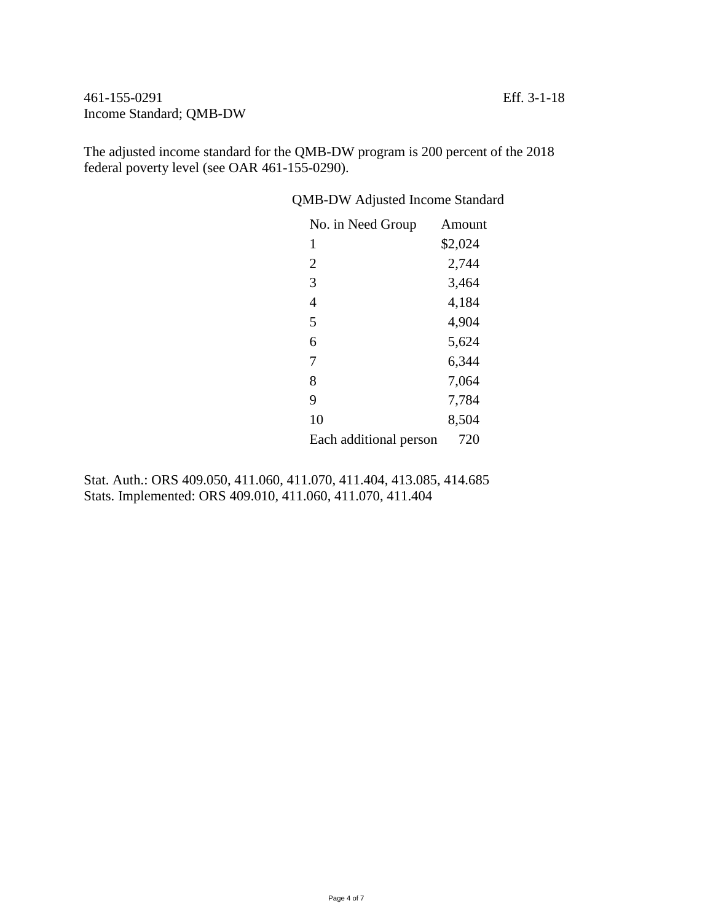461-155-0291 Eff. 3-1-18 Income Standard; QMB-DW

The adjusted income standard for the QMB-DW program is 200 percent of the 2018 federal poverty level (see OAR 461-155-0290).

QMB-DW Adjusted Income Standard

| No. in Need Group      | Amount  |
|------------------------|---------|
| 1                      | \$2,024 |
| $\overline{2}$         | 2,744   |
| 3                      | 3,464   |
| 4                      | 4,184   |
| 5                      | 4,904   |
| 6                      | 5,624   |
| 7                      | 6,344   |
| 8                      | 7,064   |
| 9                      | 7,784   |
| 10                     | 8,504   |
| Each additional person | 720     |

Stat. Auth.: ORS 409.050, 411.060, 411.070, 411.404, 413.085, 414.685 Stats. Implemented: ORS 409.010, 411.060, 411.070, 411.404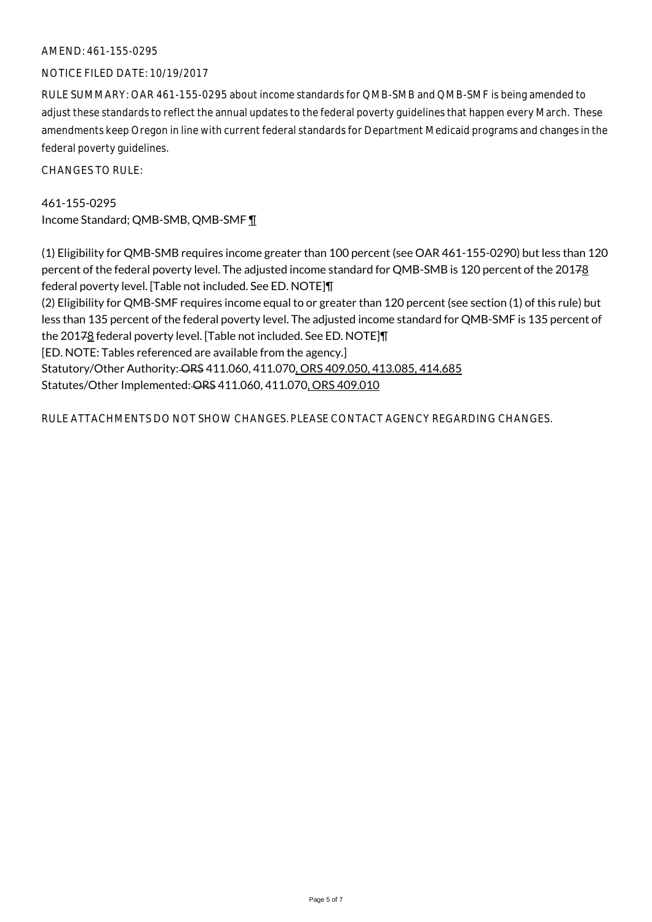#### AMEND: 461-155-0295

#### NOTICE FILED DATE: 10/19/2017

RULE SUMMARY: OAR 461-155-0295 about income standards for QMB-SMB and QMB-SMF is being amended to adjust these standards to reflect the annual updates to the federal poverty guidelines that happen every March. These amendments keep Oregon in line with current federal standards for Department Medicaid programs and changes in the federal poverty guidelines.

CHANGES TO RULE:

461-155-0295 Income Standard; QMB-SMB, QMB-SMF ¶

(1) Eligibility for QMB-SMB requires income greater than 100 percent (see OAR 461-155-0290) but less than 120 percent of the federal poverty level. The adjusted income standard for QMB-SMB is 120 percent of the 20178 federal poverty level. [Table not included. See ED. NOTE]¶ (2) Eligibility for QMB-SMF requires income equal to or greater than 120 percent (see section (1) of this rule) but less than 135 percent of the federal poverty level. The adjusted income standard for QMB-SMF is 135 percent of the 20178 federal poverty level. [Table not included. See ED. NOTE]¶ [ED. NOTE: Tables referenced are available from the agency.] Statutory/Other Authority: ORS 411.060, 411.070, ORS 409.050, 413.085, 414.685 Statutes/Other Implemented: ORS 411.060, 411.070, ORS 409.010

RULE ATTACHMENTS DO NOT SHOW CHANGES. PLEASE CONTACT AGENCY REGARDING CHANGES.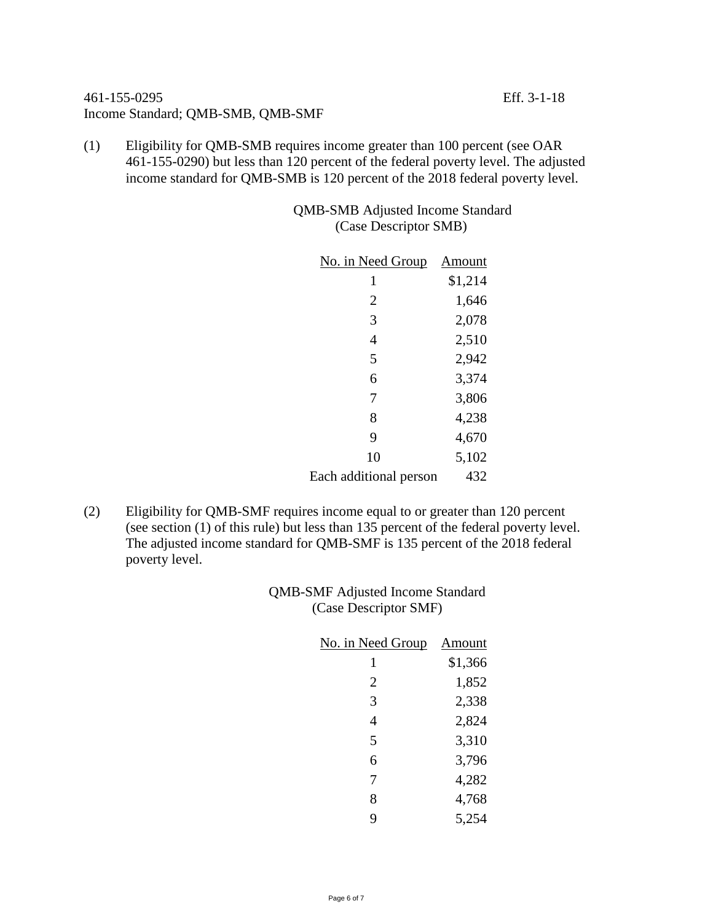## 461-155-0295 Eff. 3-1-18 Income Standard; QMB-SMB, QMB-SMF

(1) Eligibility for QMB-SMB requires income greater than 100 percent (see OAR 461-155-0290) but less than 120 percent of the federal poverty level. The adjusted income standard for QMB-SMB is 120 percent of the 2018 federal poverty level.

> QMB-SMB Adjusted Income Standard (Case Descriptor SMB)

| No. in Need Group      | Amount  |
|------------------------|---------|
| 1                      | \$1,214 |
| 2                      | 1,646   |
| 3                      | 2,078   |
| $\overline{4}$         | 2,510   |
| 5                      | 2,942   |
| 6                      | 3,374   |
| 7                      | 3,806   |
| 8                      | 4,238   |
| 9                      | 4,670   |
| 10                     | 5,102   |
| Each additional person | 432     |

(2) Eligibility for QMB-SMF requires income equal to or greater than 120 percent (see section (1) of this rule) but less than 135 percent of the federal poverty level. The adjusted income standard for QMB-SMF is 135 percent of the 2018 federal poverty level.

> QMB-SMF Adjusted Income Standard (Case Descriptor SMF)

| No. in Need Group | Amount  |
|-------------------|---------|
| 1                 | \$1,366 |
| 2                 | 1,852   |
| 3                 | 2,338   |
| 4                 | 2,824   |
| 5                 | 3,310   |
| 6                 | 3,796   |
| 7                 | 4,282   |
| 8                 | 4,768   |
| 9                 | 5,254   |